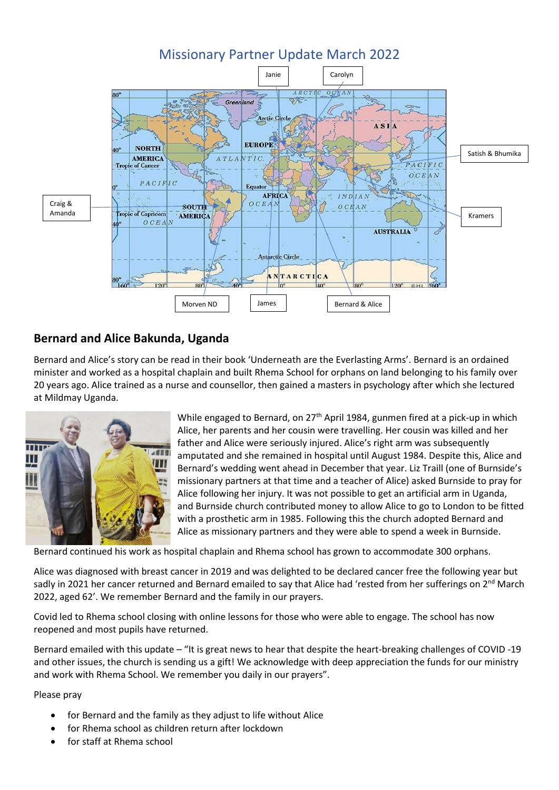

# **Bernard and Alice Bakunda, Uganda**

Bernard and Alice's story can be read in their book 'Underneath are the Everlasting Arms'. Bernard is an ordained minister and worked as a hospital chaplain and built Rhema School for orphans on land belonging to his family over 20 years ago. Alice trained as a nurse and counsellor, then gained a masters in psychology after which she lectured at Mildmay Uganda.



While engaged to Bernard, on  $27<sup>th</sup>$  April 1984, gunmen fired at a pick-up in which Alice, her parents and her cousin were travelling. Her cousin was killed and her father and Alice were seriously injured. Alice's right arm was subsequently amputated and she remained in hospital until August 1984. Despite this, Alice and Bernard's wedding went ahead in December that year. Liz Traill (one of Burnside's missionary partners at that time and a teacher of Alice) asked Burnside to pray for Alice following her injury. It was not possible to get an artificial arm in Uganda, and Burnside church contributed money to allow Alice to go to London to be fitted with a prosthetic arm in 1985. Following this the church adopted Bernard and Alice as missionary partners and they were able to spend a week in Burnside.

Bernard continued his work as hospital chaplain and Rhema school has grown to accommodate 300 orphans.

Alice was diagnosed with breast cancer in 2019 and was delighted to be declared cancer free the following year but sadly in 2021 her cancer returned and Bernard emailed to say that Alice had 'rested from her sufferings on 2<sup>nd</sup> March 2022, aged 62'. We remember Bernard and the family in our prayers.

Covid led to Rhema school closing with online lessons for those who were able to engage. The school has now reopened and most pupils have returned.

Bernard emailed with this update – "It is great news to hear that despite the heart-breaking challenges of COVID -19 and other issues, the church is sending us a gift! We acknowledge with deep appreciation the funds for our ministry and work with Rhema School. We remember you daily in our prayers".

Please pray

- for Bernard and the family as they adjust to life without Alice
- for Rhema school as children return after lockdown
- for staff at Rhema school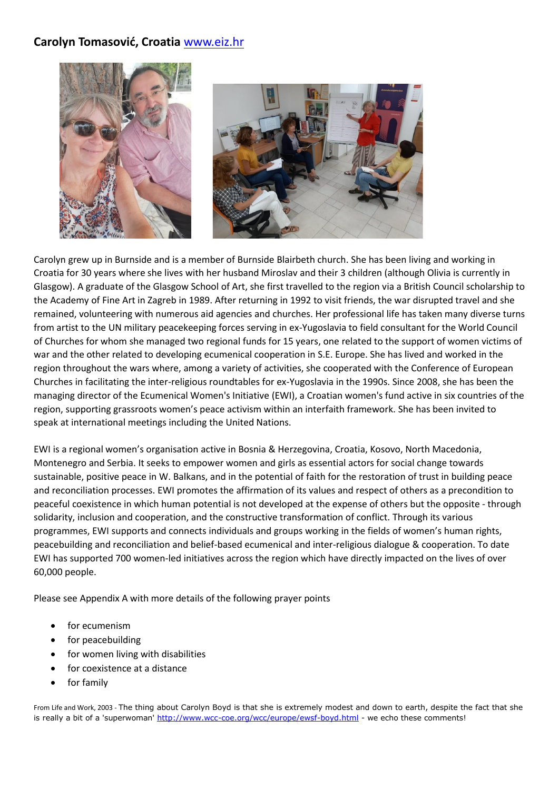# **Carolyn Tomasović, Croatia** [www.eiz.hr](http://www.eiz.hr/)



Carolyn grew up in Burnside and is a member of Burnside Blairbeth church. She has been living and working in Croatia for 30 years where she lives with her husband Miroslav and their 3 children (although Olivia is currently in Glasgow). A graduate of the Glasgow School of Art, she first travelled to the region via a British Council scholarship to the Academy of Fine Art in Zagreb in 1989. After returning in 1992 to visit friends, the war disrupted travel and she remained, volunteering with numerous aid agencies and churches. Her professional life has taken many diverse turns from artist to the UN military peacekeeping forces serving in ex-Yugoslavia to field consultant for the World Council of Churches for whom she managed two regional funds for 15 years, one related to the support of women victims of war and the other related to developing ecumenical cooperation in S.E. Europe. She has lived and worked in the region throughout the wars where, among a variety of activities, she cooperated with the Conference of European Churches in facilitating the inter-religious roundtables for ex-Yugoslavia in the 1990s. Since 2008, she has been the managing director of the Ecumenical Women's Initiative (EWI), a Croatian women's fund active in six countries of the region, supporting grassroots women's peace activism within an interfaith framework. She has been invited to speak at international meetings including the United Nations.

EWI is a regional women's organisation active in Bosnia & Herzegovina, Croatia, Kosovo, North Macedonia, Montenegro and Serbia. It seeks to empower women and girls as essential actors for social change towards sustainable, positive peace in W. Balkans, and in the potential of faith for the restoration of trust in building peace and reconciliation processes. EWI promotes the affirmation of its values and respect of others as a precondition to peaceful coexistence in which human potential is not developed at the expense of others but the opposite - through solidarity, inclusion and cooperation, and the constructive transformation of conflict. Through its various programmes, EWI supports and connects individuals and groups working in the fields of women's human rights, peacebuilding and reconciliation and belief-based ecumenical and inter-religious dialogue & cooperation. To date EWI has supported 700 women-led initiatives across the region which have directly impacted on the lives of over 60,000 people.

Please see Appendix A with more details of the following prayer points

- for ecumenism
- for peacebuilding
- for women living with disabilities
- for coexistence at a distance
- for family

From Life and Work, 2003 - The thing about Carolyn Boyd is that she is extremely modest and down to earth, despite the fact that she is really a bit of a 'superwoman' <http://www.wcc-coe.org/wcc/europe/ewsf-boyd.html> - we echo these comments!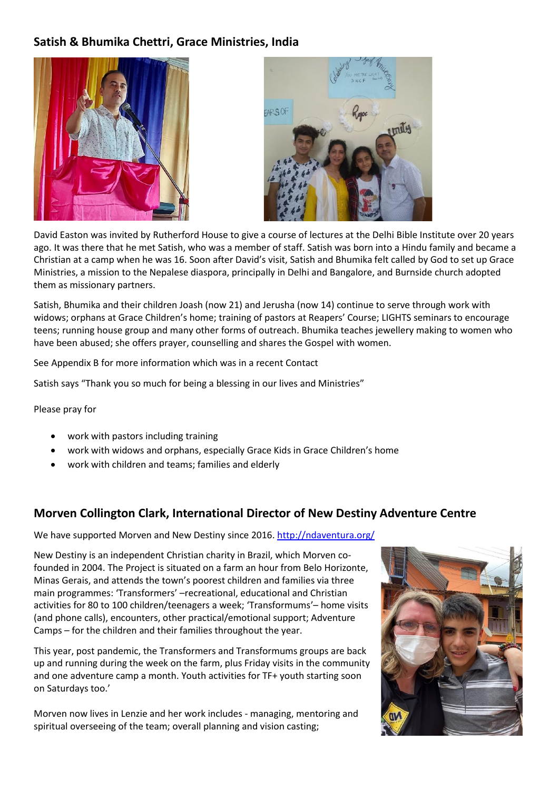# **Satish & Bhumika Chettri, Grace Ministries, India**





David Easton was invited by Rutherford House to give a course of lectures at the Delhi Bible Institute over 20 years ago. It was there that he met Satish, who was a member of staff. Satish was born into a Hindu family and became a Christian at a camp when he was 16. Soon after David's visit, Satish and Bhumika felt called by God to set up Grace Ministries, a mission to the Nepalese diaspora, principally in Delhi and Bangalore, and Burnside church adopted them as missionary partners.

Satish, Bhumika and their children Joash (now 21) and Jerusha (now 14) continue to serve through work with widows; orphans at Grace Children's home; training of pastors at Reapers' Course; LIGHTS seminars to encourage teens; running house group and many other forms of outreach. Bhumika teaches jewellery making to women who have been abused; she offers prayer, counselling and shares the Gospel with women.

See Appendix B for more information which was in a recent Contact

Satish says "Thank you so much for being a blessing in our lives and Ministries"

Please pray for

- work with pastors including training
- work with widows and orphans, especially Grace Kids in Grace Children's home
- work with children and teams; families and elderly

## **Morven Collington Clark, International Director of New Destiny Adventure Centre**

We have supported Morven and New Destiny since 2016. <http://ndaventura.org/>

New Destiny is an independent Christian charity in Brazil, which Morven cofounded in 2004. The Project is situated on a farm an hour from Belo Horizonte, Minas Gerais, and attends the town's poorest children and families via three main programmes: 'Transformers' –recreational, educational and Christian activities for 80 to 100 children/teenagers a week; 'Transformums'– home visits (and phone calls), encounters, other practical/emotional support; Adventure Camps – for the children and their families throughout the year.

This year, post pandemic, the Transformers and Transformums groups are back up and running during the week on the farm, plus Friday visits in the community and one adventure camp a month. Youth activities for TF+ youth starting soon on Saturdays too.'

Morven now lives in Lenzie and her work includes - managing, mentoring and spiritual overseeing of the team; overall planning and vision casting;

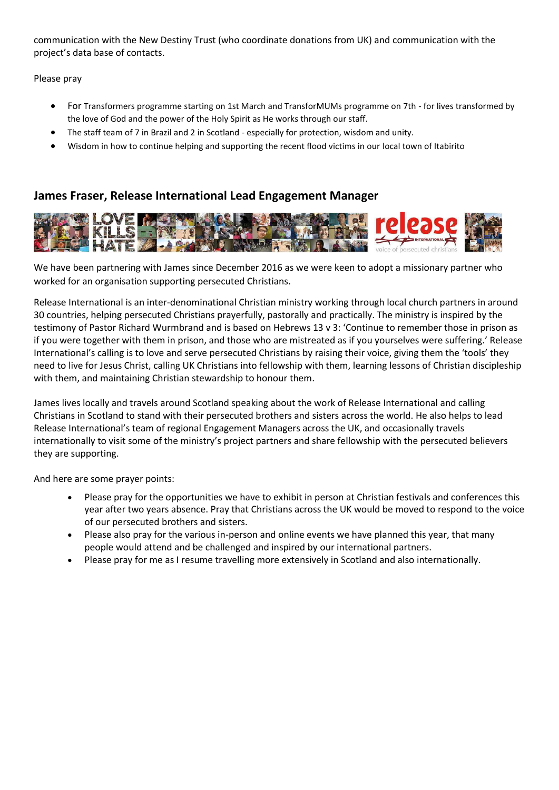communication with the New Destiny Trust (who coordinate donations from UK) and communication with the project's data base of contacts.

Please pray

- For Transformers programme starting on 1st March and TransforMUMs programme on 7th for lives transformed by the love of God and the power of the Holy Spirit as He works through our staff.
- The staff team of 7 in Brazil and 2 in Scotland especially for protection, wisdom and unity.
- Wisdom in how to continue helping and supporting the recent flood victims in our local town of Itabirito

# **James Fraser, Release International Lead Engagement Manager**



We have been partnering with James since December 2016 as we were keen to adopt a missionary partner who worked for an organisation supporting persecuted Christians.

Release International is an inter-denominational Christian ministry working through local church partners in around 30 countries, helping persecuted Christians prayerfully, pastorally and practically. The ministry is inspired by the testimony of Pastor Richard Wurmbrand and is based on Hebrews 13 v 3: 'Continue to remember those in prison as if you were together with them in prison, and those who are mistreated as if you yourselves were suffering.' Release International's calling is to love and serve persecuted Christians by raising their voice, giving them the 'tools' they need to live for Jesus Christ, calling UK Christians into fellowship with them, learning lessons of Christian discipleship with them, and maintaining Christian stewardship to honour them.

James lives locally and travels around Scotland speaking about the work of Release International and calling Christians in Scotland to stand with their persecuted brothers and sisters across the world. He also helps to lead Release International's team of regional Engagement Managers across the UK, and occasionally travels internationally to visit some of the ministry's project partners and share fellowship with the persecuted believers they are supporting.

And here are some prayer points:

- Please pray for the opportunities we have to exhibit in person at Christian festivals and conferences this year after two years absence. Pray that Christians across the UK would be moved to respond to the voice of our persecuted brothers and sisters.
- Please also pray for the various in-person and online events we have planned this year, that many people would attend and be challenged and inspired by our international partners.
- Please pray for me as I resume travelling more extensively in Scotland and also internationally.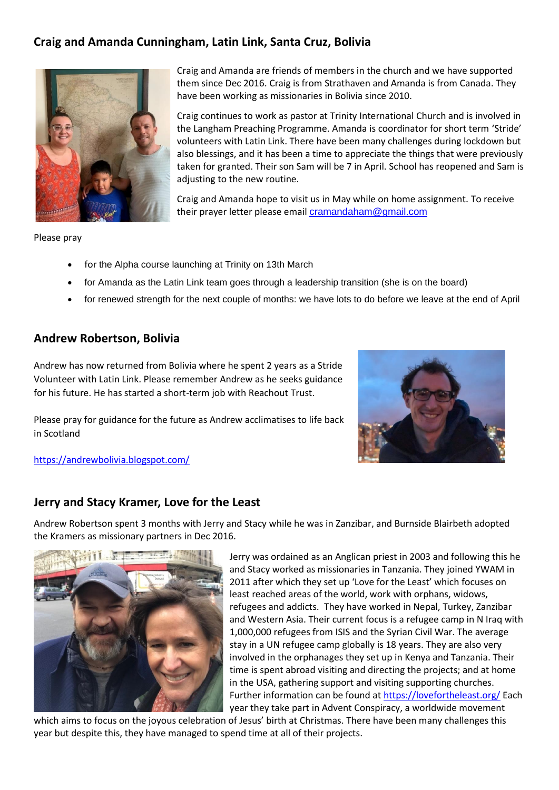# **Craig and Amanda Cunningham, Latin Link, Santa Cruz, Bolivia**



Craig and Amanda are friends of members in the church and we have supported them since Dec 2016. Craig is from Strathaven and Amanda is from Canada. They have been working as missionaries in Bolivia since 2010.

Craig continues to work as pastor at Trinity International Church and is involved in the Langham Preaching Programme. Amanda is coordinator for short term 'Stride' volunteers with Latin Link. There have been many challenges during lockdown but also blessings, and it has been a time to appreciate the things that were previously taken for granted. Their son Sam will be 7 in April. School has reopened and Sam is adjusting to the new routine.

Craig and Amanda hope to visit us in May while on home assignment. To receive their prayer letter please email [cramandaham@gmail.com](mailto:cramandaham@gmail.com)

Please pray

- for the Alpha course launching at Trinity on 13th March
- for Amanda as the Latin Link team goes through a leadership transition (she is on the board)
- for renewed strength for the next couple of months: we have lots to do before we leave at the end of April

## **Andrew Robertson, Bolivia**

Andrew has now returned from Bolivia where he spent 2 years as a Stride Volunteer with Latin Link. Please remember Andrew as he seeks guidance for his future. He has started a short-term job with Reachout Trust.

Please pray for guidance for the future as Andrew acclimatises to life back in Scotland



<https://andrewbolivia.blogspot.com/>

## **Jerry and Stacy Kramer, Love for the Least**

Andrew Robertson spent 3 months with Jerry and Stacy while he was in Zanzibar, and Burnside Blairbeth adopted the Kramers as missionary partners in Dec 2016.



Jerry was ordained as an Anglican priest in 2003 and following this he and Stacy worked as missionaries in Tanzania. They joined YWAM in 2011 after which they set up 'Love for the Least' which focuses on least reached areas of the world, work with orphans, widows, refugees and addicts. They have worked in Nepal, Turkey, Zanzibar and Western Asia. Their current focus is a refugee camp in N Iraq with 1,000,000 refugees from ISIS and the Syrian Civil War. The average stay in a UN refugee camp globally is 18 years. They are also very involved in the orphanages they set up in Kenya and Tanzania. Their time is spent abroad visiting and directing the projects; and at home in the USA, gathering support and visiting supporting churches. Further information can be found a[t https://lovefortheleast.org/](https://lovefortheleast.org/) Each year they take part in Advent Conspiracy, a worldwide movement

which aims to focus on the joyous celebration of Jesus' birth at Christmas. There have been many challenges this year but despite this, they have managed to spend time at all of their projects.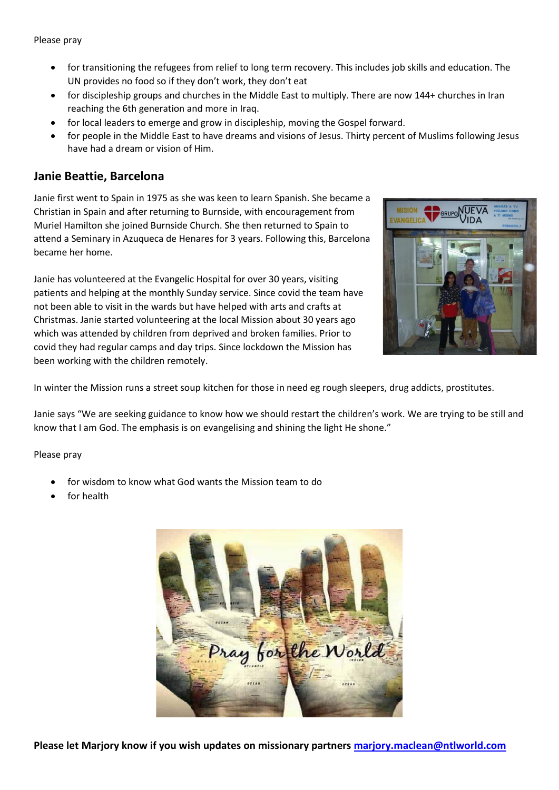- for transitioning the refugees from relief to long term recovery. This includes job skills and education. The UN provides no food so if they don't work, they don't eat
- for discipleship groups and churches in the Middle East to multiply. There are now 144+ churches in Iran reaching the 6th generation and more in Iraq.
- for local leaders to emerge and grow in discipleship, moving the Gospel forward.
- for people in the Middle East to have dreams and visions of Jesus. Thirty percent of Muslims following Jesus have had a dream or vision of Him.

## **Janie Beattie, Barcelona**

Janie first went to Spain in 1975 as she was keen to learn Spanish. She became a Christian in Spain and after returning to Burnside, with encouragement from Muriel Hamilton she joined Burnside Church. She then returned to Spain to attend a Seminary in Azuqueca de Henares for 3 years. Following this, Barcelona became her home.

Janie has volunteered at the Evangelic Hospital for over 30 years, visiting patients and helping at the monthly Sunday service. Since covid the team have not been able to visit in the wards but have helped with arts and crafts at Christmas. Janie started volunteering at the local Mission about 30 years ago which was attended by children from deprived and broken families. Prior to covid they had regular camps and day trips. Since lockdown the Mission has been working with the children remotely.



In winter the Mission runs a street soup kitchen for those in need eg rough sleepers, drug addicts, prostitutes.

Janie says "We are seeking guidance to know how we should restart the children's work. We are trying to be still and know that I am God. The emphasis is on evangelising and shining the light He shone."

Please pray

- for wisdom to know what God wants the Mission team to do
- for health

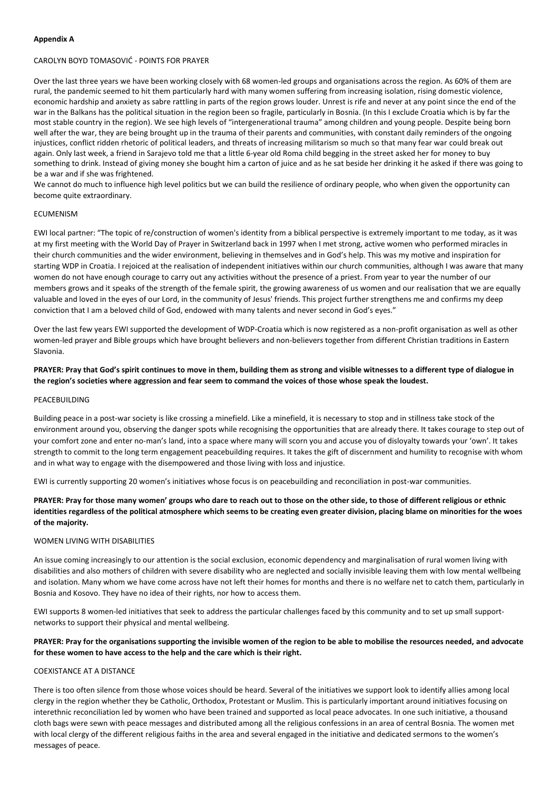### **Appendix A**

### CAROLYN BOYD TOMASOVIĆ - POINTS FOR PRAYER

Over the last three years we have been working closely with 68 women-led groups and organisations across the region. As 60% of them are rural, the pandemic seemed to hit them particularly hard with many women suffering from increasing isolation, rising domestic violence, economic hardship and anxiety as sabre rattling in parts of the region grows louder. Unrest is rife and never at any point since the end of the war in the Balkans has the political situation in the region been so fragile, particularly in Bosnia. (In this I exclude Croatia which is by far the most stable country in the region). We see high levels of "intergenerational trauma" among children and young people. Despite being born well after the war, they are being brought up in the trauma of their parents and communities, with constant daily reminders of the ongoing injustices, conflict ridden rhetoric of political leaders, and threats of increasing militarism so much so that many fear war could break out again. Only last week, a friend in Sarajevo told me that a little 6-year old Roma child begging in the street asked her for money to buy something to drink. Instead of giving money she bought him a carton of juice and as he sat beside her drinking it he asked if there was going to be a war and if she was frightened.

We cannot do much to influence high level politics but we can build the resilience of ordinary people, who when given the opportunity can become quite extraordinary.

### ECUMENISM

EWI local partner: "The topic of re/construction of women's identity from a biblical perspective is extremely important to me today, as it was at my first meeting with the World Day of Prayer in Switzerland back in 1997 when I met strong, active women who performed miracles in their church communities and the wider environment, believing in themselves and in God's help. This was my motive and inspiration for starting WDP in Croatia. I rejoiced at the realisation of independent initiatives within our church communities, although I was aware that many women do not have enough courage to carry out any activities without the presence of a priest. From year to year the number of our members grows and it speaks of the strength of the female spirit, the growing awareness of us women and our realisation that we are equally valuable and loved in the eyes of our Lord, in the community of Jesus' friends. This project further strengthens me and confirms my deep conviction that I am a beloved child of God, endowed with many talents and never second in God's eyes."

Over the last few years EWI supported the development of WDP-Croatia which is now registered as a non-profit organisation as well as other women-led prayer and Bible groups which have brought believers and non-believers together from different Christian traditions in Eastern Slavonia.

## **PRAYER: Pray that God's spirit continues to move in them, building them as strong and visible witnesses to a different type of dialogue in the region's societies where aggression and fear seem to command the voices of those whose speak the loudest.**

#### PEACEBUILDING

Building peace in a post-war society is like crossing a minefield. Like a minefield, it is necessary to stop and in stillness take stock of the environment around you, observing the danger spots while recognising the opportunities that are already there. It takes courage to step out of your comfort zone and enter no-man's land, into a space where many will scorn you and accuse you of disloyalty towards your 'own'. It takes strength to commit to the long term engagement peacebuilding requires. It takes the gift of discernment and humility to recognise with whom and in what way to engage with the disempowered and those living with loss and injustice.

EWI is currently supporting 20 women's initiatives whose focus is on peacebuilding and reconciliation in post-war communities.

## **PRAYER: Pray for those many women' groups who dare to reach out to those on the other side, to those of different religious or ethnic identities regardless of the political atmosphere which seems to be creating even greater division, placing blame on minorities for the woes of the majority.**

### WOMEN LIVING WITH DISABILITIES

An issue coming increasingly to our attention is the social exclusion, economic dependency and marginalisation of rural women living with disabilities and also mothers of children with severe disability who are neglected and socially invisible leaving them with low mental wellbeing and isolation. Many whom we have come across have not left their homes for months and there is no welfare net to catch them, particularly in Bosnia and Kosovo. They have no idea of their rights, nor how to access them.

EWI supports 8 women-led initiatives that seek to address the particular challenges faced by this community and to set up small supportnetworks to support their physical and mental wellbeing.

## **PRAYER: Pray for the organisations supporting the invisible women of the region to be able to mobilise the resources needed, and advocate for these women to have access to the help and the care which is their right.**

#### COEXISTANCE AT A DISTANCE

There is too often silence from those whose voices should be heard. Several of the initiatives we support look to identify allies among local clergy in the region whether they be Catholic, Orthodox, Protestant or Muslim. This is particularly important around initiatives focusing on interethnic reconciliation led by women who have been trained and supported as local peace advocates. In one such initiative, a thousand cloth bags were sewn with peace messages and distributed among all the religious confessions in an area of central Bosnia. The women met with local clergy of the different religious faiths in the area and several engaged in the initiative and dedicated sermons to the women's messages of peace.